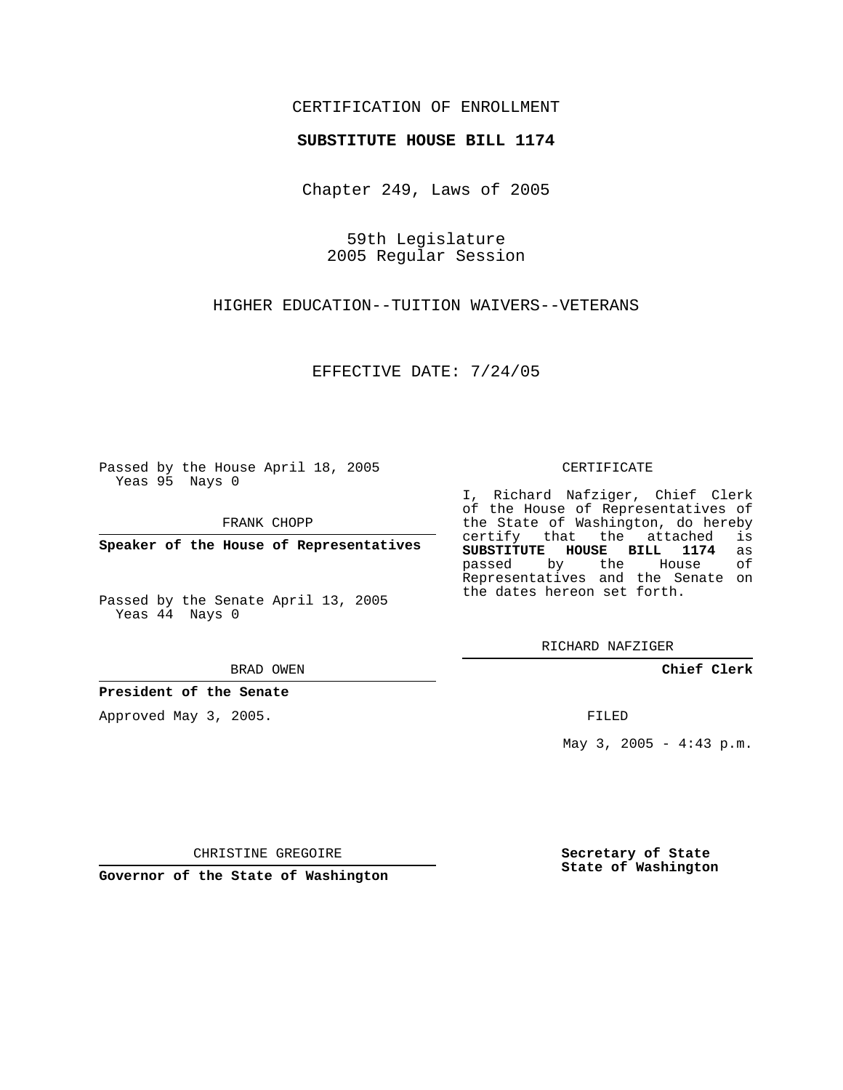## CERTIFICATION OF ENROLLMENT

### **SUBSTITUTE HOUSE BILL 1174**

Chapter 249, Laws of 2005

59th Legislature 2005 Regular Session

HIGHER EDUCATION--TUITION WAIVERS--VETERANS

EFFECTIVE DATE: 7/24/05

Passed by the House April 18, 2005 Yeas 95 Nays 0

FRANK CHOPP

**Speaker of the House of Representatives**

Passed by the Senate April 13, 2005 Yeas 44 Nays 0

#### BRAD OWEN

**President of the Senate**

Approved May 3, 2005.

#### CERTIFICATE

I, Richard Nafziger, Chief Clerk of the House of Representatives of the State of Washington, do hereby<br>certify that the attached is certify that the attached **SUBSTITUTE HOUSE BILL 1174** as passed by the House Representatives and the Senate on the dates hereon set forth.

RICHARD NAFZIGER

**Chief Clerk**

FILED

May  $3, 2005 - 4:43 p.m.$ 

CHRISTINE GREGOIRE

**Governor of the State of Washington**

**Secretary of State State of Washington**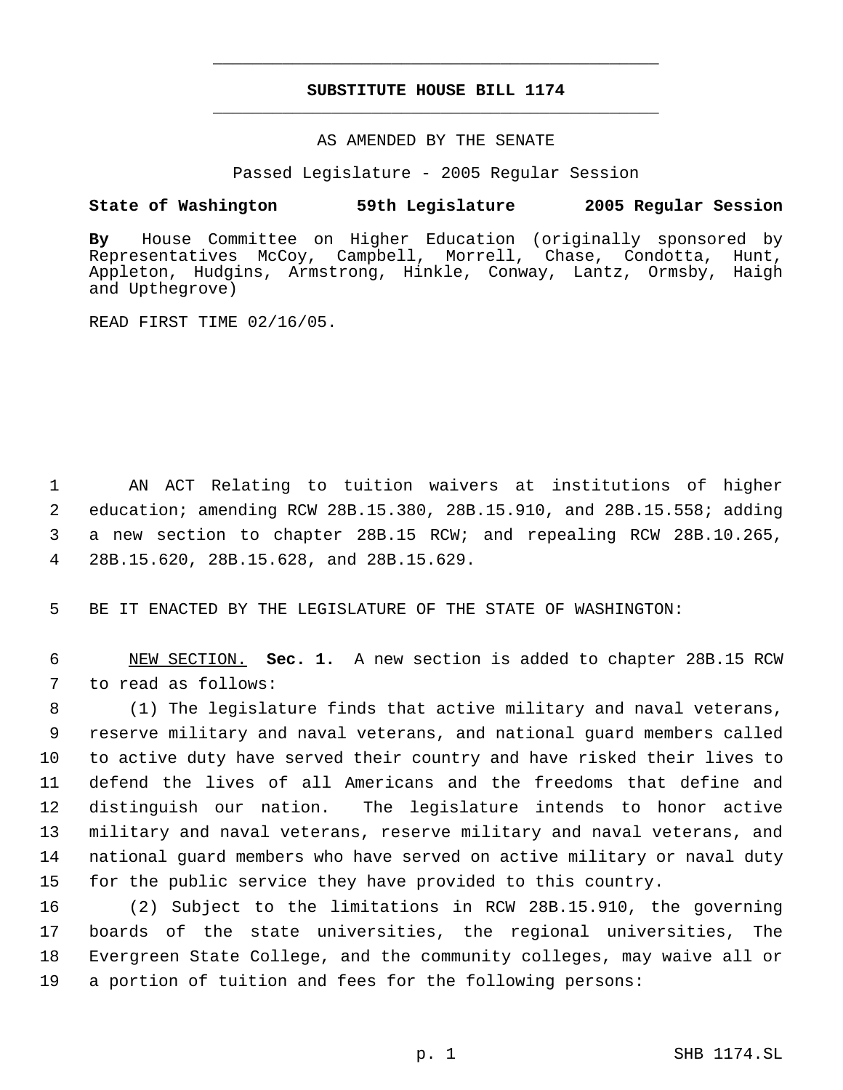# **SUBSTITUTE HOUSE BILL 1174** \_\_\_\_\_\_\_\_\_\_\_\_\_\_\_\_\_\_\_\_\_\_\_\_\_\_\_\_\_\_\_\_\_\_\_\_\_\_\_\_\_\_\_\_\_

\_\_\_\_\_\_\_\_\_\_\_\_\_\_\_\_\_\_\_\_\_\_\_\_\_\_\_\_\_\_\_\_\_\_\_\_\_\_\_\_\_\_\_\_\_

## AS AMENDED BY THE SENATE

Passed Legislature - 2005 Regular Session

## **State of Washington 59th Legislature 2005 Regular Session**

**By** House Committee on Higher Education (originally sponsored by Representatives McCoy, Campbell, Morrell, Chase, Condotta, Hunt, Appleton, Hudgins, Armstrong, Hinkle, Conway, Lantz, Ormsby, Haigh and Upthegrove)

READ FIRST TIME 02/16/05.

 AN ACT Relating to tuition waivers at institutions of higher education; amending RCW 28B.15.380, 28B.15.910, and 28B.15.558; adding a new section to chapter 28B.15 RCW; and repealing RCW 28B.10.265, 28B.15.620, 28B.15.628, and 28B.15.629.

BE IT ENACTED BY THE LEGISLATURE OF THE STATE OF WASHINGTON:

 NEW SECTION. **Sec. 1.** A new section is added to chapter 28B.15 RCW to read as follows:

 (1) The legislature finds that active military and naval veterans, reserve military and naval veterans, and national guard members called to active duty have served their country and have risked their lives to defend the lives of all Americans and the freedoms that define and distinguish our nation. The legislature intends to honor active military and naval veterans, reserve military and naval veterans, and national guard members who have served on active military or naval duty for the public service they have provided to this country.

 (2) Subject to the limitations in RCW 28B.15.910, the governing boards of the state universities, the regional universities, The Evergreen State College, and the community colleges, may waive all or a portion of tuition and fees for the following persons: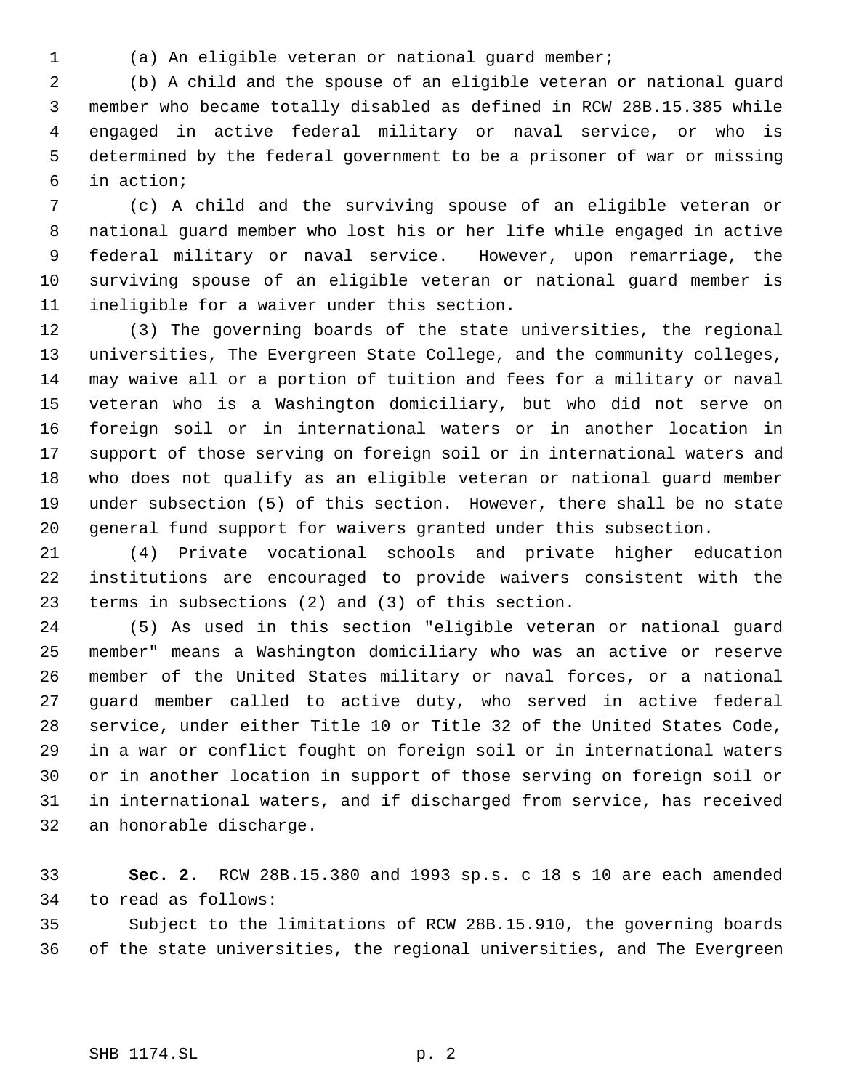(a) An eligible veteran or national guard member;

 (b) A child and the spouse of an eligible veteran or national guard member who became totally disabled as defined in RCW 28B.15.385 while engaged in active federal military or naval service, or who is determined by the federal government to be a prisoner of war or missing in action;

 (c) A child and the surviving spouse of an eligible veteran or national guard member who lost his or her life while engaged in active federal military or naval service. However, upon remarriage, the surviving spouse of an eligible veteran or national guard member is ineligible for a waiver under this section.

 (3) The governing boards of the state universities, the regional universities, The Evergreen State College, and the community colleges, may waive all or a portion of tuition and fees for a military or naval veteran who is a Washington domiciliary, but who did not serve on foreign soil or in international waters or in another location in support of those serving on foreign soil or in international waters and who does not qualify as an eligible veteran or national guard member under subsection (5) of this section. However, there shall be no state general fund support for waivers granted under this subsection.

 (4) Private vocational schools and private higher education institutions are encouraged to provide waivers consistent with the terms in subsections (2) and (3) of this section.

 (5) As used in this section "eligible veteran or national guard member" means a Washington domiciliary who was an active or reserve member of the United States military or naval forces, or a national guard member called to active duty, who served in active federal service, under either Title 10 or Title 32 of the United States Code, in a war or conflict fought on foreign soil or in international waters or in another location in support of those serving on foreign soil or in international waters, and if discharged from service, has received an honorable discharge.

 **Sec. 2.** RCW 28B.15.380 and 1993 sp.s. c 18 s 10 are each amended to read as follows:

 Subject to the limitations of RCW 28B.15.910, the governing boards of the state universities, the regional universities, and The Evergreen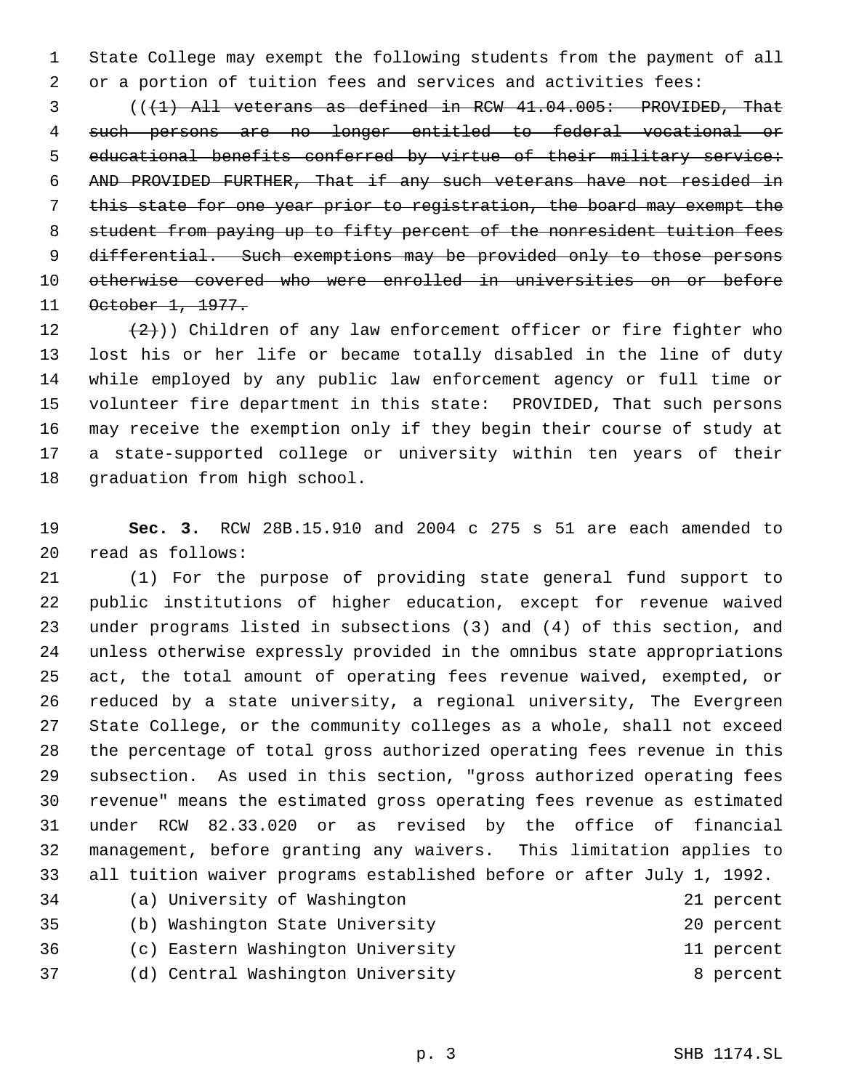State College may exempt the following students from the payment of all or a portion of tuition fees and services and activities fees:

 ( $(\overline{1})$  All veterans as defined in RCW 41.04.005: PROVIDED, That such persons are no longer entitled to federal vocational or educational benefits conferred by virtue of their military service: AND PROVIDED FURTHER, That if any such veterans have not resided in this state for one year prior to registration, the board may exempt the 8 student from paying up to fifty percent of the nonresident tuition fees 9 differential. Such exemptions may be provided only to those persons otherwise covered who were enrolled in universities on or before October 1, 1977.

 $(2)$ )) Children of any law enforcement officer or fire fighter who lost his or her life or became totally disabled in the line of duty while employed by any public law enforcement agency or full time or volunteer fire department in this state: PROVIDED, That such persons may receive the exemption only if they begin their course of study at a state-supported college or university within ten years of their graduation from high school.

 **Sec. 3.** RCW 28B.15.910 and 2004 c 275 s 51 are each amended to read as follows:

 (1) For the purpose of providing state general fund support to public institutions of higher education, except for revenue waived under programs listed in subsections (3) and (4) of this section, and unless otherwise expressly provided in the omnibus state appropriations act, the total amount of operating fees revenue waived, exempted, or reduced by a state university, a regional university, The Evergreen State College, or the community colleges as a whole, shall not exceed the percentage of total gross authorized operating fees revenue in this subsection. As used in this section, "gross authorized operating fees revenue" means the estimated gross operating fees revenue as estimated under RCW 82.33.020 or as revised by the office of financial management, before granting any waivers. This limitation applies to all tuition waiver programs established before or after July 1, 1992.

| 34 | (a) University of Washington      | 21 percent |
|----|-----------------------------------|------------|
| 35 | (b) Washington State University   | 20 percent |
| 36 | (c) Eastern Washington University | 11 percent |
| 37 | (d) Central Washington University | 8 percent  |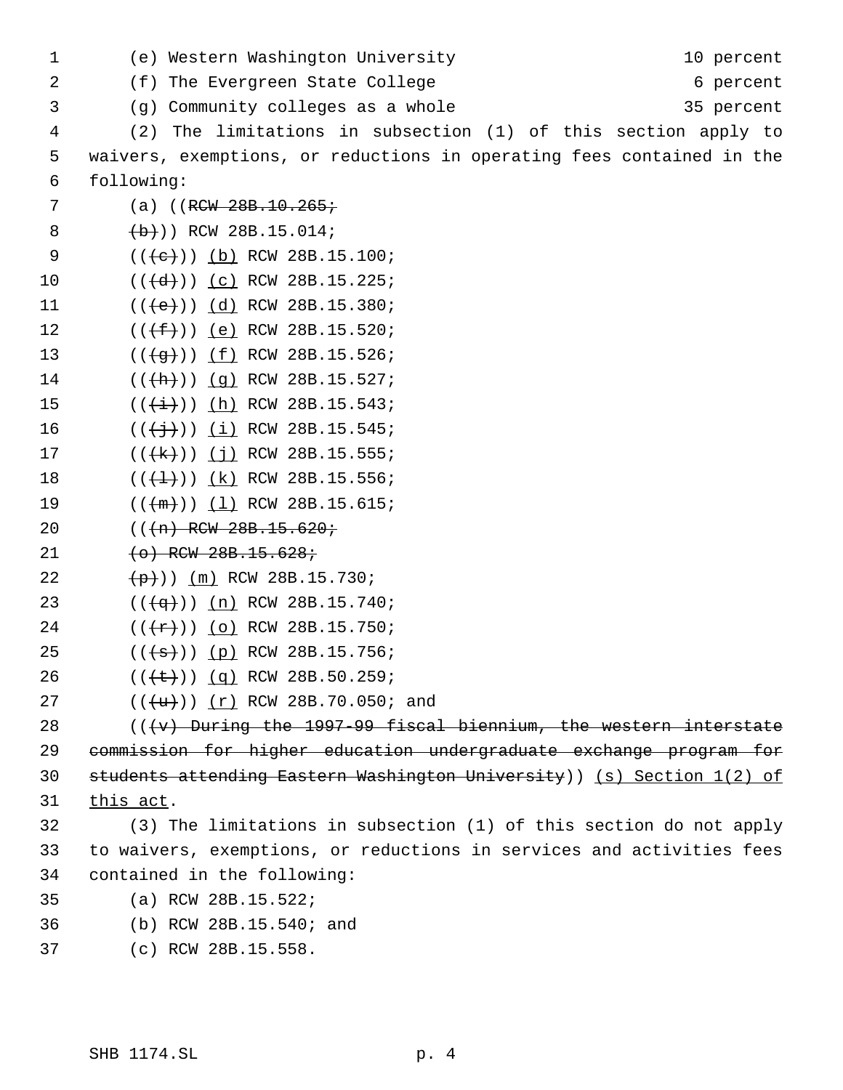| 1  | (e) Western Washington University<br>10 percent                           |
|----|---------------------------------------------------------------------------|
| 2  | (f) The Evergreen State College<br>6 percent                              |
| 3  | (g) Community colleges as a whole<br>35 percent                           |
| 4  | The limitations in subsection (1) of this section apply to<br>(2)         |
| 5  | waivers, exemptions, or reductions in operating fees contained in the     |
| 6  | following:                                                                |
| 7  | (a) $((RCW 28B.10.265)$                                                   |
| 8  | $(b+)$ ) RCW 28B.15.014;                                                  |
| 9  | $((e+))( b)$ RCW 28B.15.100;                                              |
| 10 | $((\{d\})$ $(c)$ RCW 28B.15.225;                                          |
| 11 | $((+e))$ $(d)$ RCW 28B.15.380;                                            |
| 12 | $((+f))$ (e) RCW 28B.15.520;                                              |
| 13 | $((\frac{4}{9})^{\circ})$ (f) RCW 28B.15.526;                             |
| 14 | $((+h))$ (g) RCW 28B.15.527;                                              |
| 15 | $((+1))$ (h) RCW 28B.15.543;                                              |
| 16 | $((\frac{+}{2})$ ) (i) RCW 28B.15.545;                                    |
| 17 | $((\{\text{R}\})\)$ (j) RCW 28B.15.555;                                   |
| 18 | $((+1))$ (k) RCW 28B.15.556;                                              |
| 19 | $((+m))$ $(1)$ RCW 28B.15.615;                                            |
| 20 | $((+n)$ RCW 28B.15.620;                                                   |
| 21 | $(0)$ RCW 28B.15.628;                                                     |
| 22 | $(\frac{\mathsf{p}}{\mathsf{p}})$ (m) RCW 28B.15.730;                     |
| 23 | $((\frac{4}{9}))$ (n) RCW 28B.15.740;                                     |
| 24 | $((+r))$ (o) RCW 28B.15.750;                                              |
| 25 | $((+s))$ (p) RCW 28B.15.756;                                              |
| 26 | $((\text{+}\text{+}))(q)$ RCW 28B.50.259;                                 |
| 27 | $((+u)) (r)$ RCW 28B.70.050; and                                          |
| 28 | $((\forall v)$ During the 1997-99 fiscal biennium, the western interstate |
| 29 | commission for higher education undergraduate exchange program for        |
| 30 | students attending Eastern Washington University)) (s) Section 1(2) of    |
| 31 | this act.                                                                 |
| 32 | (3) The limitations in subsection (1) of this section do not apply        |
| 33 | to waivers, exemptions, or reductions in services and activities fees     |
| 34 | contained in the following:                                               |
| 35 | (a) RCW 28B.15.522;                                                       |
| 36 | (b) RCW 28B.15.540; and                                                   |
| 37 | (c) RCW 28B.15.558.                                                       |
|    |                                                                           |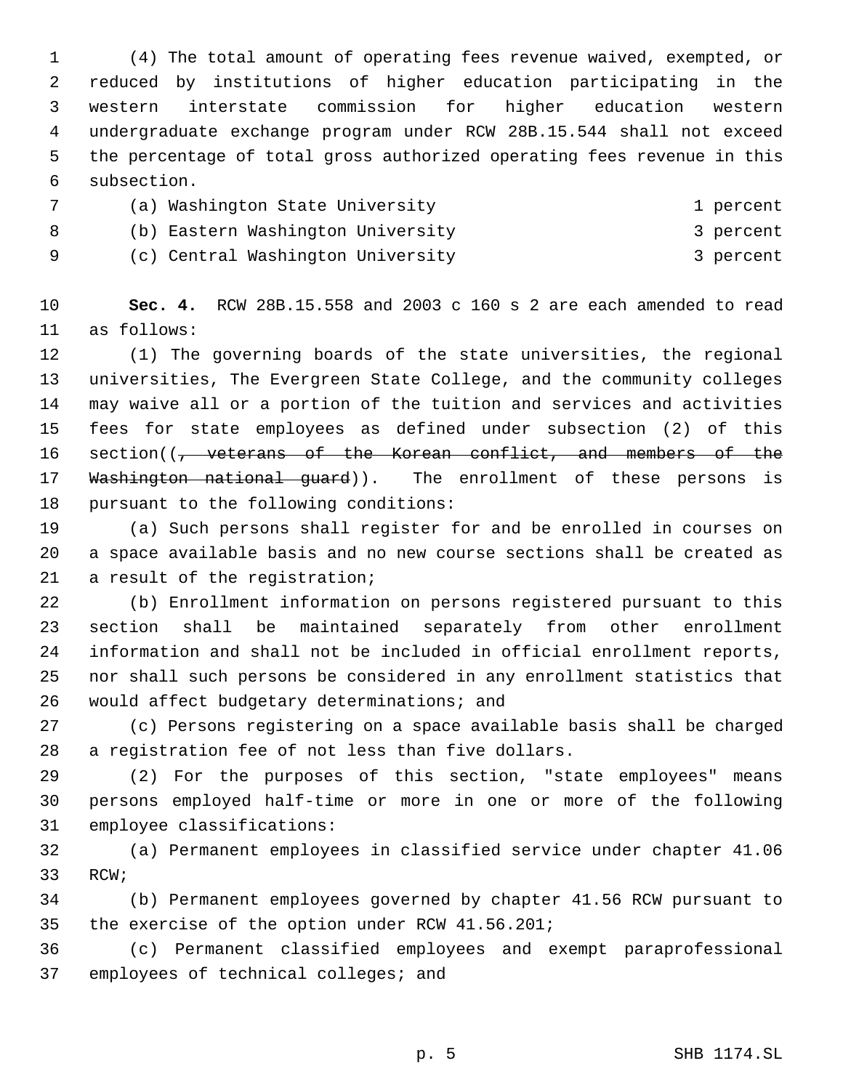(4) The total amount of operating fees revenue waived, exempted, or reduced by institutions of higher education participating in the western interstate commission for higher education western undergraduate exchange program under RCW 28B.15.544 shall not exceed the percentage of total gross authorized operating fees revenue in this subsection.

 (a) Washington State University 1 percent 8 (b) Eastern Washington University 3 percent 9 (c) Central Washington University 3 percent

 **Sec. 4.** RCW 28B.15.558 and 2003 c 160 s 2 are each amended to read as follows:

 (1) The governing boards of the state universities, the regional universities, The Evergreen State College, and the community colleges may waive all or a portion of the tuition and services and activities fees for state employees as defined under subsection (2) of this 16 section((<del>, veterans of the Korean conflict, and members of the</del> 17 Washington national guard)). The enrollment of these persons is pursuant to the following conditions:

 (a) Such persons shall register for and be enrolled in courses on a space available basis and no new course sections shall be created as a result of the registration;

 (b) Enrollment information on persons registered pursuant to this section shall be maintained separately from other enrollment information and shall not be included in official enrollment reports, nor shall such persons be considered in any enrollment statistics that would affect budgetary determinations; and

 (c) Persons registering on a space available basis shall be charged a registration fee of not less than five dollars.

 (2) For the purposes of this section, "state employees" means persons employed half-time or more in one or more of the following employee classifications:

 (a) Permanent employees in classified service under chapter 41.06 RCW;

 (b) Permanent employees governed by chapter 41.56 RCW pursuant to the exercise of the option under RCW 41.56.201;

 (c) Permanent classified employees and exempt paraprofessional employees of technical colleges; and